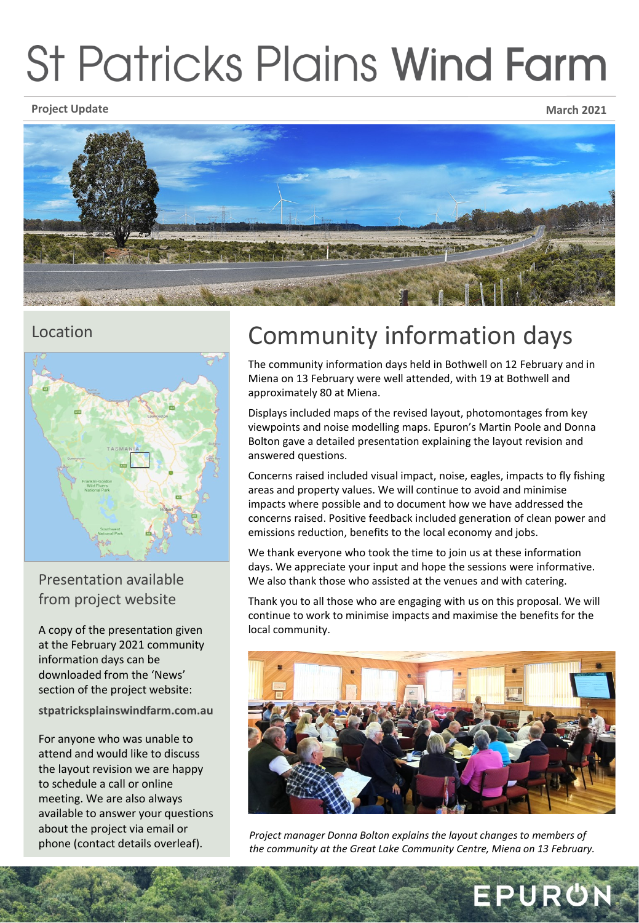# **St Patricks Plains Wind Farm**

**Project Update March 2021**





Presentation available from project website

A copy of the presentation given at the February 2021 community information days can be downloaded from the 'News' section of the project website:

**stpatricksplainswindfarm.com.au**

For anyone who was unable to attend and would like to discuss the layout revision we are happy to schedule a call or online meeting. We are also always available to answer your questions about the project via email or

## Location **Community information days**

The community information days held in Bothwell on 12 February and in Miena on 13 February were well attended, with 19 at Bothwell and approximately 80 at Miena.

Displays included maps of the revised layout, photomontages from key viewpoints and noise modelling maps. Epuron's Martin Poole and Donna Bolton gave a detailed presentation explaining the layout revision and answered questions.

Concerns raised included visual impact, noise, eagles, impacts to fly fishing areas and property values. We will continue to avoid and minimise impacts where possible and to document how we have addressed the concerns raised. Positive feedback included generation of clean power and emissions reduction, benefits to the local economy and jobs.

We thank everyone who took the time to join us at these information days. We appreciate your input and hope the sessions were informative. We also thank those who assisted at the venues and with catering.

Thank you to all those who are engaging with us on this proposal. We will continue to work to minimise impacts and maximise the benefits for the local community.



phone (contact details overleaf). *Project manager Donna Bolton explains the layout changes to members of the community at the Great Lake Community Centre, Miena on 13 February.*

EPURÜN